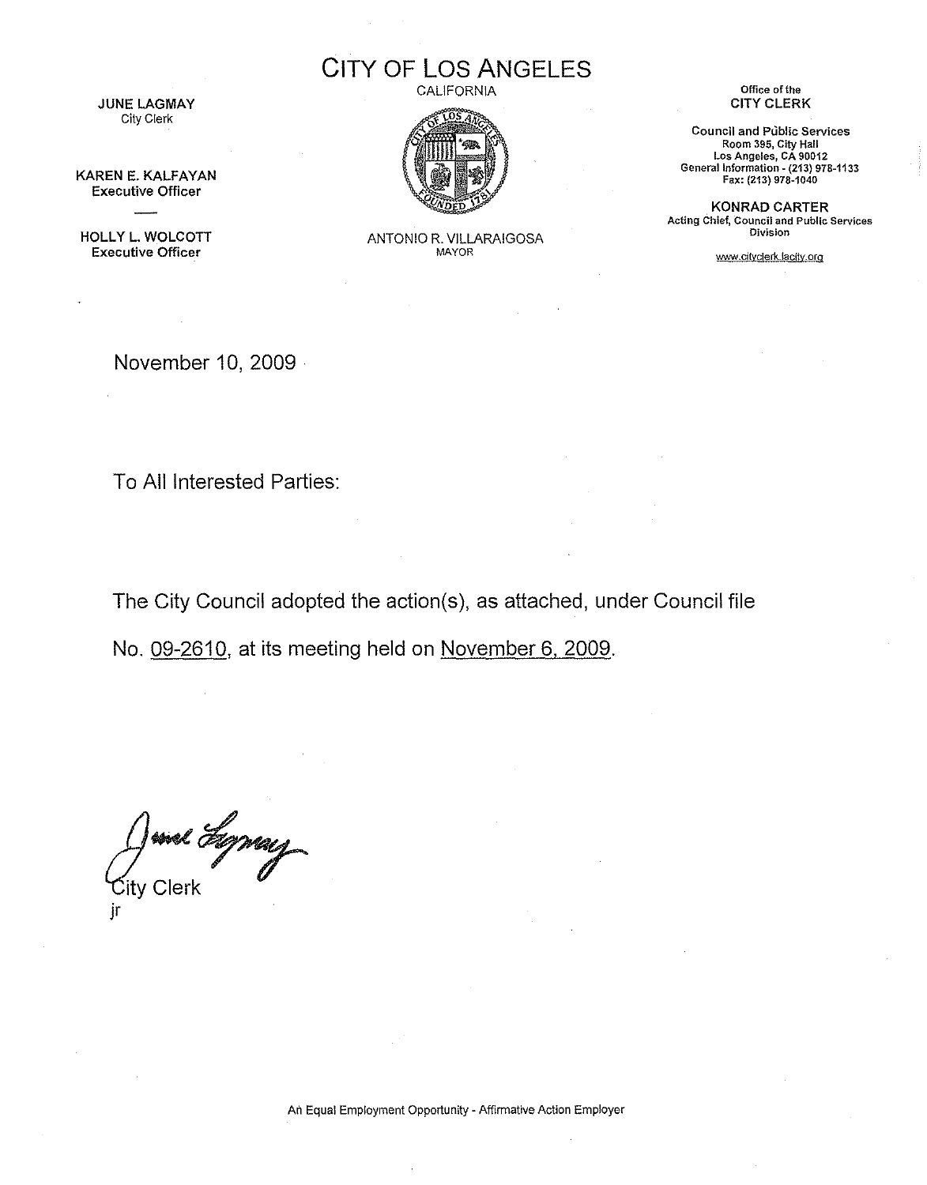**JUNE LAGMAY** City Clerk

KAREN E. KALFAYAN Executive Officer

HOLLY L. WOLCOTT Executive Officer

**CITY OF LOS ANGELES CALIFORNIA** 



ANTONIO R. VILLARAIGOSA MAYOR

**Office** of the CITY CLERK

**Council and Public Services Room 395, City Hall Los Angeles, CA 90012** General Information - **(213) 978-1133 Fax: (2i3) 978-1040**

KONRAD CARTER **Acting Chief, Council and Public Services Division**

www.cityclerk.lacity.org

November 10, 2009 .

To All Interested Parties:

The City Council adopted the action(s), as attached, under Council file

No. 09-2610, at its meeting held on November 6,2009.

Junel Egymay jr

**An Equal Employment Opportunity - Affirmative Action Employer**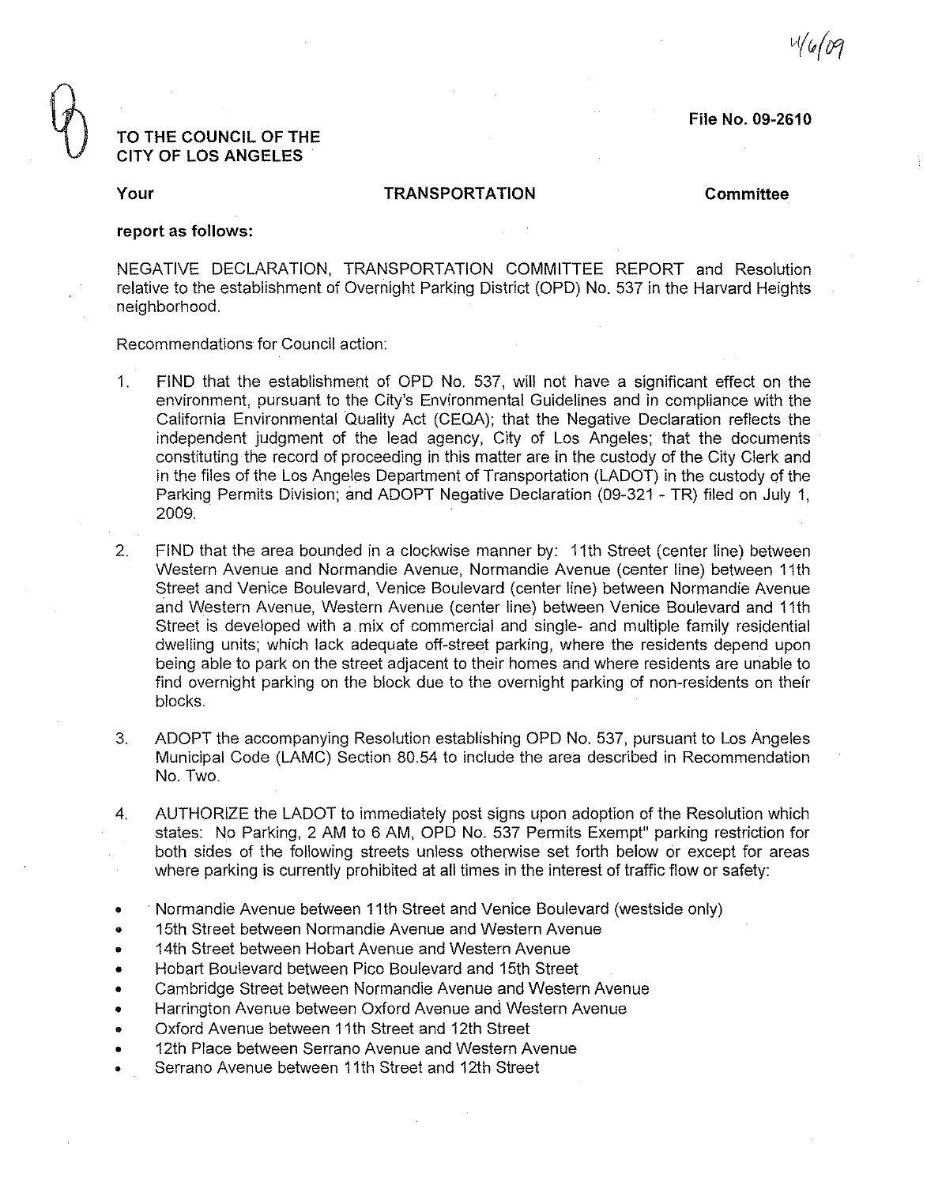**File No. 09-2610**

<sup>1</sup>/6/09

## **TO THE COUNCIL OF THE CITY OF LOS ANGELES**

#### **Your TRANSPORTATION Committee**

### **report as follows:**

NEGATIVE DECLARATION, TRANSPORTATION COMMITTEE REPORT and Resolution relative to the establishment of Overnight Parking District (OPD) No. 537 in the Harvard Heights neighborhood.

Recommendations for Council action:

- 1. FIND that the establishment of OPD No. 537, will not have a significant effect on the environment, pursuant to the City's Environmental Guidelines and in compliance with the California Environmental Quality Act (CEQA); that the Negative Declaration reflects the independent judgment of the lead agency, City of Los Angeles; that the documents constituting the record of proceeding in this matter are in the custody of the City Clerk and in the files of the Los Angeles Department of Transportation (LADOT) in the custody of the Parking Permits Division; and ADOPT Negative Declaration (09-321 - TR) filed on July 1, 2009.
- 2. FIND that the area bounded in a clockwise manner by: 11th Street (center line) between Western Avenue and Normandie Avenue, Normandie Avenue (center line) between 11th Street and Venice Boulevard, Venice Boulevard (center line) between Normandie Avenue and Western Avenue, Western Avenue (center line) between Venice Boulevard and 11th Street is developed with a mix of commercial and single- and multiple family residential dwelling units; which lack adequate off-street parking, where the residents depend upon being able to park on the street adjacent to their homes and where residents are unable to find overnight parking on the block due to the overnight parking of non-residents on their blocks.
- 3. ADOPT the accompanying Resolution establishing OPD No. 537, pursuant to Los Angeles Municipal Code (LAMC) Section 80.54 to include the area described in Recommendation No. Two.
- 4. AUTHORIZE the LADOT to immediately post signs upon adoption of the Resolution which states: No Parking, 2 AM to 6 AM, OPD No. 537 Permits Exempt" parking restriction for both sides of the following streets unless otherwise set forth below or except for areas where parking is currently prohibited at all times in the interest of traffic flow or safety:
- Normandie Avenue between 11th Street and Venice Boulevard (westside only)
- 15th Street between Normandie Avenue and Western Avenue
- 14th Street between Hobart Avenue and Western Avenue
- Hobart Boulevard between Pico Boulevard and 15th Street
- Cambridge Street between Normandie Avenue and Western Avenue
- Harrington Avenue between Oxford Avenue and Western Avenue
- Oxford Avenue between 11th Street and 12th Street
- 12th Place between Serrano Avenue and Western Avenue
- Serrano Avenue between 11th Street and 12th Street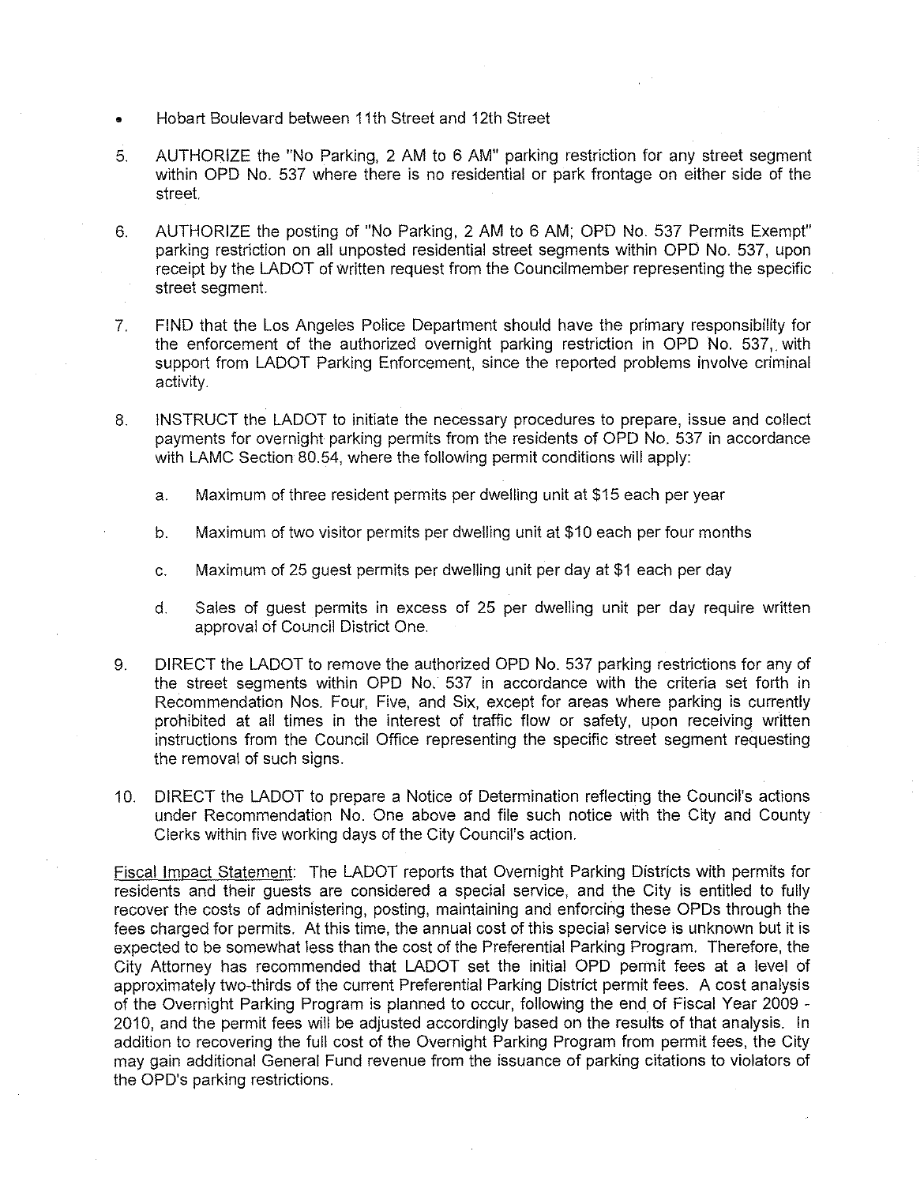- Hobart Boulevard between 11th Street and 12th Street
- 5. AUTHORIZE the "No Parking, 2 AM to 6 AM" parking restriction for any street segment within OPD No. 537 where there is no residential or park frontage on either side of the street.
- 6. AUTHORIZE the posting of "No Parking, 2 AM to 6 AM; OPD No. 537 Permits Exempt" parking restriction on all unposted residential street segments within OPD No. 537, upon receipt by the LADOT of written request from the Council member representing the specific street segment.
- 7. FIND that the Los Angeles Police Department should have the primary responsibility for the enforcement of the authorized overnight parking restriction in OPD No. 537,. with support from LADOT Parking Enforcement, since the reported problems involve criminal activity.
- 8. INSTRUCT the LADOT to initiate the necessary procedures to prepare, issue and collect payments for overnight parking perrnits from the residents of OPD No. 537 in accordance with LAMC Section 80.54, where the following permit conditions will apply:
	- a. Maximum of three resident permits per dwelling unit at \$15 each per year
	- b. Maximum of two visitor permits per dwelling unit at \$10 each per four months
	- c. Maximum of 25 guest permits per dwelling unit per day at \$1 each per day
	- d. Sales of guest permits in excess of 25 per dwelling unit per day require written approval of Council District One.
- 9. DIRECT the LADOT to remove the authorized OPD No. 537 parking restrictions for any of the street segments within OPD No, 537 in accordance with the criteria set forth in Recommendation Nos. Four, Five, and Six, except for areas where parking is currently prohibited at all times in the interest of traffic flow or safety, upon receiving written instructions from the Council Office representing the specific street segment requesting the removal of such signs.
- 10. DIRECT the LADOT to prepare a Notice of Determination reflecting the Council's actions under Recommendation No. One above and file such notice with the City and County Clerks within five working days of the City Council's action.

Fiscal Impact Statement: The LADOT reports that Overnight Parking Districts with permits for residents and their guests are considered a special service, and the City is entitled to fully recover the costs of administering, posting, maintaining and enforcing these OPDs through the fees charged for permits. At this time, the annual cost of this special service is unknown but it is expected to be somewhat less than the cost of the Preferential Parking Program. Therefore, the City Attorney has recommended that LADOT set the initial OPD permit fees at a level of approximately two-thirds of the current Preferential Parking District permit fees. A cost analysis of the Overnight Parking Program is planned to occur, following the end of Fiscal Year 2009 - 2010, and the permit fees will be adjusted accordingly based on the results of that analysis. In addition to recovering the full cost of the Overnight Parking Program from permit fees, the City may gain additional General Fund revenue from the issuance of parking citations to violators of the OPD's parking restrictions.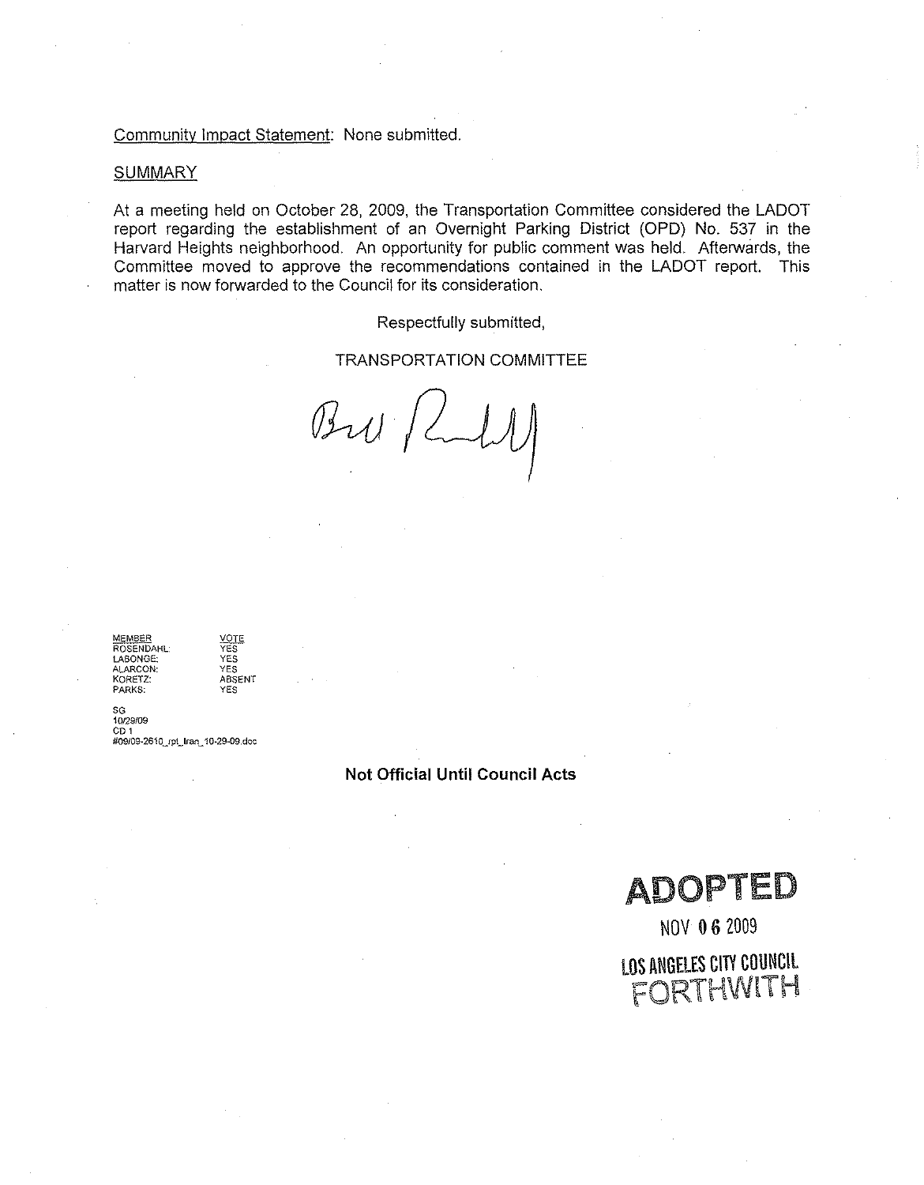#### Community Impact Statement: None submitted.

#### **SUMMARY**

At a meeting held on October 28, 2009, the Transportation Committee considered the LADOT report regarding the establishment of an Overnight Parking District (OPD) No. 537 in the Harvard Heights neighborhood. An opportunity for public comment was held. Afterwards, the Committee moved to approve the recommendations contained in the LADOT report. This matter is now forwarded to the Council for its consideration.

Respectfully submitted,

#### TRANSPORTATION COMMITTEE

 $B_{2}u/Lll$ 

**MEMBER YPTE ROSENDAHL' YES** M<u>EMBER<br>
ROSENDAHL: YES</u><br>
LABONGE: YES<br>
ALARCON: YES **ALARCON: YES KORETZ: ABSENT PARKS: YES**

SG<br>10/29/0 CD<sub>1</sub> **#09/09-261 OjPUran\_ 10-29-09.doc**

**Not Official Until Council Acts**

ADOPTED

NOV 06 2009

**LOS ANGELES CITY COUNCIL** FORTHWlTH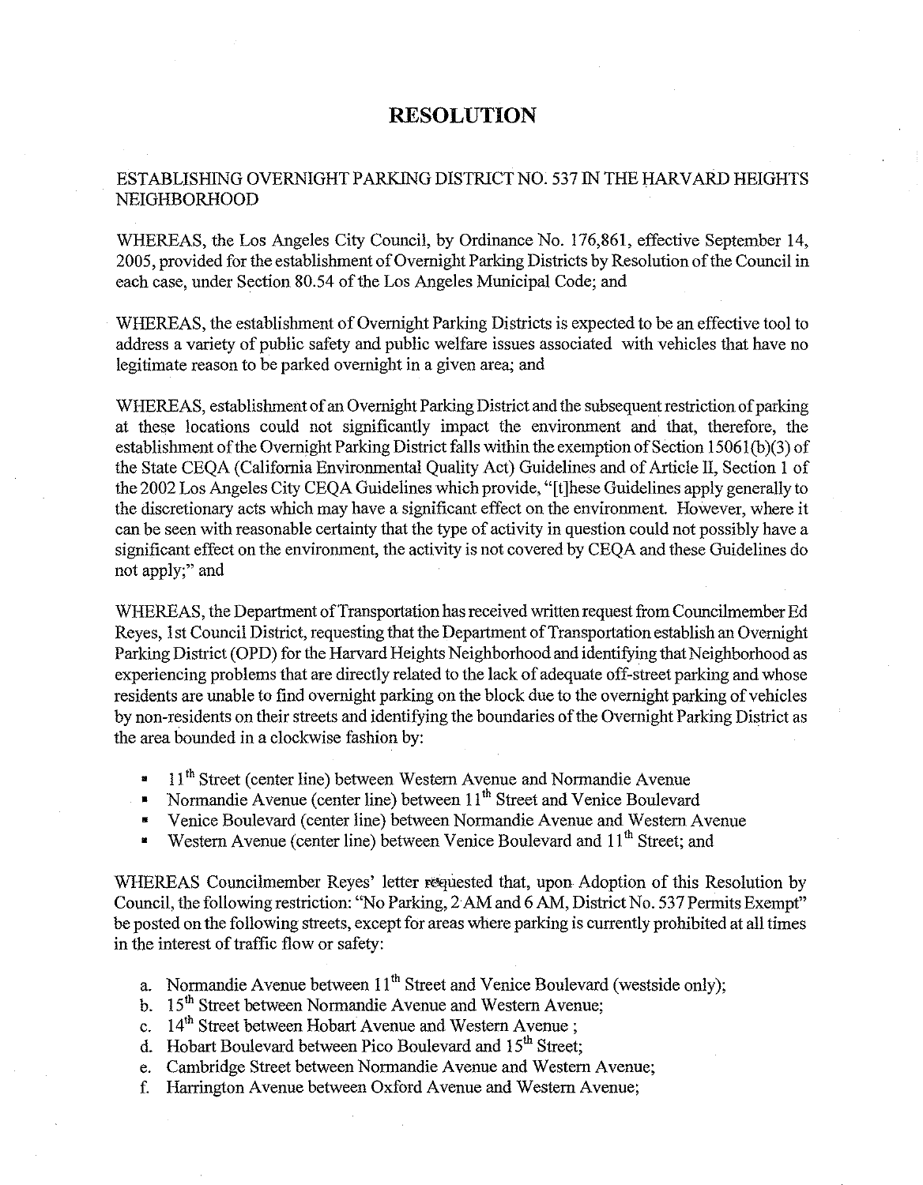# **RESOLUTION**

# ESTABLISHING OVERNIGHT PARKlNG DISTRICT NO. S37 IN THE HARVARD HEIGHTS NEIGHBORHOOD

WHEREAS, the Los Angeles City Council, by Ordinance No. 176,861, effective September 14, 200S, provided for the establishment of Overnight Parking Districts by Resolution of the Council in each case, under Section 80.54 of the Los Angeles Municipal Code; and

WHEREAS, the establishment of Overnight Parking Districts is expected to be an effective tool to address a variety of public safety and public welfare issues associated with vehicles that have no legitimate reason to be parked overnight in a given area; and

WHEREAS, establishment of an Overnight Parking District and the subsequent restriction of parking at these locations could not significantly impact the environment and that, therefore, the establishment of the Overnight Parking District falls within the exemption of Section IS061 (b)(3) of the State CEQA (California Environmental Quality Act) Guidelines and of Article II, Section I of the 2002 Los Angeles City CEQA Guidelines which provide, "[t]hese Guidelines apply generally to the discretionary acts which may have a significant effect on the environment. However, where it can be seen with reasonable certainty that the type of activity in question could not possibly have a significant effect on the environment, the activity is not covered by CEQA and these Guidelines do not apply;" and

WHEREAS, the Department of Transportation has received written request from Councilmember Ed Reyes, 1st Council District, requesting that the Department of Transportation establish an Overuight Parking District (OPD) for the Harvard Heights Neighborhood and identifying that Neighborhood as experiencing problems that are directly related to the lack of adequate off-street parking and whose residents are unable to find overnight parking on the block due to the overnight parking of vehicles by non-residents on their streets and identifying the boundaries of the Overnight Parking District as the area bounded in a clockwise fashion by:

- <sup>•</sup> 11<sup>th</sup> Street (center line) between Western Avenue and Normandie Avenue
- Normandie Avenue (center line) between 11<sup>th</sup> Street and Venice Boulevard
- Venice Boulevard (center line) between Normandie Avenue and Western Avenue
- Western Avenue (center line) between Venice Boulevard and 11<sup>th</sup> Street; and

WHEREAS Councilmember Reyes' letter requested that, upon Adoption of this Resolution by Council, the following restriction: "No Parking, 2AM and 6 AM, District No. 537 Permits Exempt" be posted on the following streets, except for areas where parking is currently prohibited at all times in the interest of traffic flow or safety:

- a. Normandie Avenue between  $11<sup>th</sup>$  Street and Venice Boulevard (westside only);
- b. 15<sup>th</sup> Street between Normandie Avenue and Western Avenue;
- c.  $14<sup>th</sup> Street between Hobart Avenue and Western Avenue;$
- d. Hobart Boulevard between Pico Boulevard and  $15<sup>th</sup>$  Street;
- e. Cambridge Street between Normandie Avenue and Western Avenue;
- f. Harrington Avenue between Oxford Avenue and Western Avenue;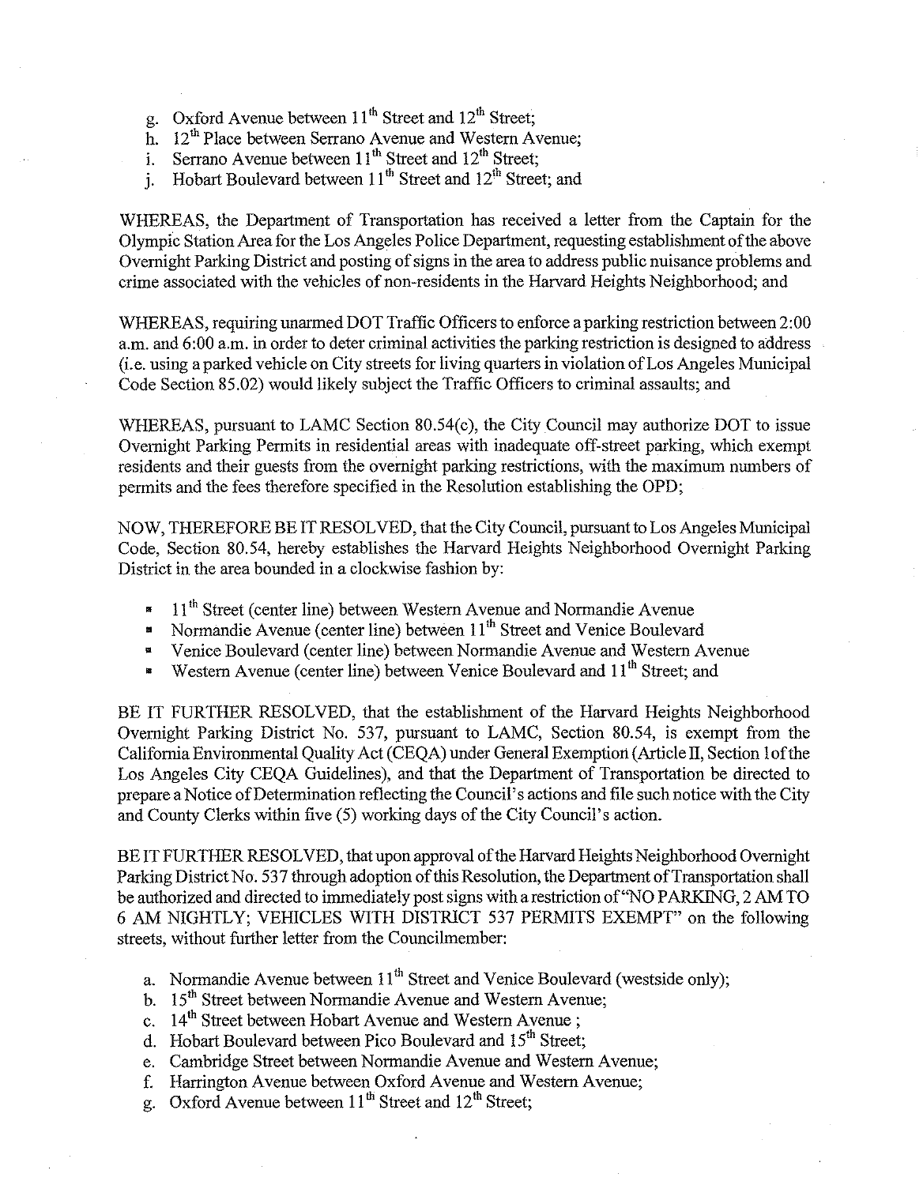- g. Oxford Avenue between  $11<sup>th</sup>$  Street and  $12<sup>th</sup>$  Street;
- h. 12<sup>th</sup> Place between Serrano Avenue and Western Avenue;
- i. Serrano Avenue between  $11<sup>th</sup>$  Street and  $12<sup>th</sup>$  Street;
- i. Hobart Boulevard between  $11<sup>th</sup>$  Street and  $12<sup>th</sup>$  Street; and

WHEREAS, the Department of Transportation has received a letter from the Captain for the Olympic Station Area for the Los Angeles Police Department, requesting establishment of the above Overnight Parking District and posting of signs in the area to address public nuisance problems and crime associated with the vehicles of non-residents in the Harvard Heights Neighborhood; and

WHEREAS, requiring unarmed DOT Traffic Officers to enforce a parking restriction between 2:00 a.m. and 6:00 a.m. in order to deter criminal activities the parking restriction is designed to address (i.e. using a parked vehicle on City streets for living quarters in violation of Los Angeles Municipal Code Section 85.02) would likely subject the Traffic Officers to criminal assaults; and

WHEREAS, pursuant to LAMC Section 80.54(c), the City Council may authorize DOT to issue Overnight Parking Permits in residential areas with inadequate off-street parking, which exempt residents and their guests from the overnight parking restrictions, with the maximum numbers of permits and the fees therefore specified in the Resolution establishing the OPD;

NOW, THEREFORE BE IT RESOLVED, that the City Council, pursuant to Los Angeles Municipal Code, Section 80.54, hereby establishes the Harvard Heights Neighborhood Overnight Parking District in the area bounded in a clockwise fashion by:

- 11<sup>th</sup> Street (center line) between Western Avenue and Normandie Avenue
- Normandie Avenue (center line) between 11<sup>th</sup> Street and Venice Boulevard
- Venice Boulevard (center line) between Normandie Avenue and Western Avenue
- Western Avenue (center line) between Venice Boulevard and  $11<sup>th</sup>$  Street; and

BE IT FURTHER RESOLVED, that the establishment of the Harvard Heights Neighborhood Overnight Parking District No. 537, pursuant to LAMC, Section 80.54, is exempt from the California Environmental Quality Act (CEQA) under General Exemption (Article II, Section lof'the Los Angeles City CEQA Guidelines), and that the Department of Transportation be directed to prepare a Notice of Determination reflecting the Council's actions and file such notice with the City and County Clerks within five (5) working days of the City Council's action.

BE IT FURTHER RESOLVED, that upon approval of the Harvard Heights Neighborhood Overnight Parking District No. 537 through adoption of this Resolution, the Department of Transportation shall be authorized and directed to immediately post signs with a restriction of "NO PARKlNG, 2 AM TO 6 AM NIGHTLY; VEHICLES WITH DISTRICT 537 PERMITS EXEMPT" on the following streets, without further letter from the Councilmember:

- a. Normandie Avenue between  $11<sup>th</sup>$  Street and Venice Boulevard (westside only);
- b. 15<sup>th</sup> Street between Normandie Avenue and Western Avenue;
- c.  $14<sup>th</sup>$  Street between Hobart Avenue and Western Avenue;
- d. Hobart Boulevard between Pico Boulevard and 15<sup>th</sup> Street:
- e. Cambridge Street between Normandie Avenue and Western Avenue;
- f. Harrington Avenue between Oxford Avenue and Western Avenue;
- g. Oxford Avenue between  $11<sup>th</sup>$  Street and  $12<sup>th</sup>$  Street;